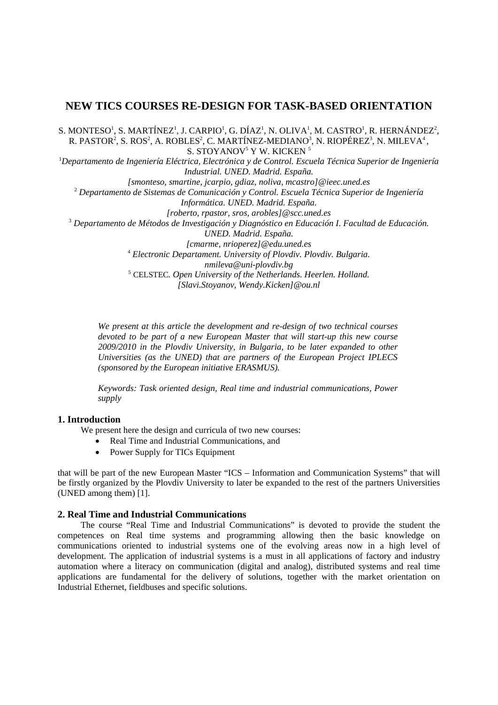# **NEW TICS COURSES RE-DESIGN FOR TASK-BASED ORIENTATION**

S. MONTESO<sup>1</sup>, S. MARTÍNEZ<sup>1</sup>, J. CARPIO<sup>1</sup>, G. DÍAZ<sup>1</sup>, N. OLIVA<sup>1</sup>, M. CASTRO<sup>1</sup>, R. HERNÁNDEZ<sup>2</sup>, R. PASTOR<sup>2</sup>, S. ROS<sup>2</sup>, A. ROBLES<sup>2</sup>, C. MARTÍNEZ-MEDIANO<sup>3</sup>, N. RIOPÉREZ<sup>3</sup>, N. MILEVA<sup>4</sup>, S. STOYANOV<sup>5</sup> Y W. KICKEN<sup>5</sup>

1 *Departamento de Ingeniería Eléctrica, Electrónica y de Control. Escuela Técnica Superior de Ingeniería Industrial. UNED. Madrid. España.* 

*[smonteso, smartine, jcarpio, gdiaz, noliva, mcastro]@ieec.uned.es* 2  *Departamento de Sistemas de Comunicación y Control. Escuela Técnica Superior de Ingeniería Informática. UNED. Madrid. España. [roberto, rpastor, sros, arobles]@scc.uned.es* <sup>3</sup> Departamento de Métodos de Investigación y Diagnóstico en Educación I. Facultad de Educación. *UNED. Madrid. España. [cmarme, nrioperez]@edu.uned.es* 4  *Electronic Departament. University of Plovdiv. Plovdiv. Bulgaria. nmileva@uni-plovdiv.bg* 

<sup>5</sup> CELSTEC*. Open University of the Netherlands. Heerlen. Holland. [Slavi.Stoyanov, Wendy.Kicken]@ou.nl* 

*We present at this article the development and re-design of two technical courses devoted to be part of a new European Master that will start-up this new course 2009/2010 in the Plovdiv University, in Bulgaria, to be later expanded to other Universities (as the UNED) that are partners of the European Project IPLECS* 

*Keywords: Task oriented design, Real time and industrial communications, Power supply* 

# **1. Introduction**

We present here the design and curricula of two new courses:

*(sponsored by the European initiative ERASMUS).* 

- Real Time and Industrial Communications, and
- Power Supply for TICs Equipment

that will be part of the new European Master "ICS – Information and Communication Systems" that will be firstly organized by the Plovdiv University to later be expanded to the rest of the partners Universities (UNED among them) [1].

#### **2. Real Time and Industrial Communications**

The course "Real Time and Industrial Communications" is devoted to provide the student the competences on Real time systems and programming allowing then the basic knowledge on communications oriented to industrial systems one of the evolving areas now in a high level of development. The application of industrial systems is a must in all applications of factory and industry automation where a literacy on communication (digital and analog), distributed systems and real time applications are fundamental for the delivery of solutions, together with the market orientation on Industrial Ethernet, fieldbuses and specific solutions.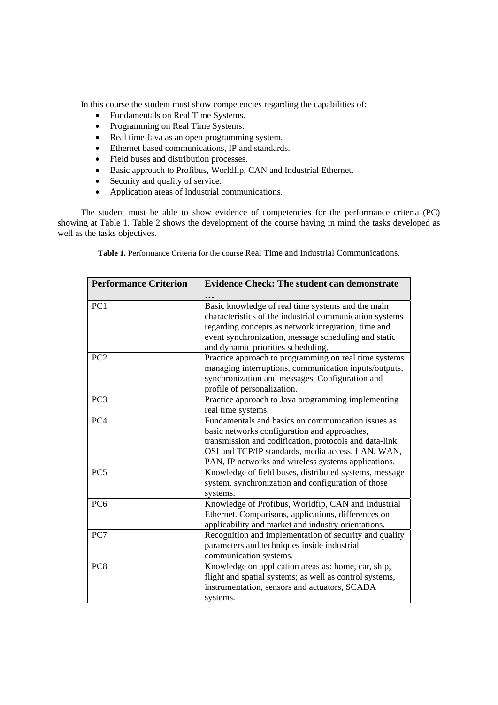In this course the student must show competencies regarding the capabilities of:

- Fundamentals on Real Time Systems.
- Programming on Real Time Systems.
- Real time Java as an open programming system.
- Ethernet based communications, IP and standards.
- Field buses and distribution processes.
- Basic approach to Profibus, Worldfip, CAN and Industrial Ethernet.
- Security and quality of service.
- Application areas of Industrial communications.

The student must be able to show evidence of competencies for the performance criteria (PC) showing at Table 1. Table 2 shows the development of the course having in mind the tasks developed as well as the tasks objectives.

**Table 1.** Performance Criteria for the course Real Time and Industrial Communications.

| <b>Performance Criterion</b> | <b>Evidence Check: The student can demonstrate</b>                                                                                                                                                                                                                        |  |  |
|------------------------------|---------------------------------------------------------------------------------------------------------------------------------------------------------------------------------------------------------------------------------------------------------------------------|--|--|
|                              |                                                                                                                                                                                                                                                                           |  |  |
| PC1                          | Basic knowledge of real time systems and the main<br>characteristics of the industrial communication systems<br>regarding concepts as network integration, time and<br>event synchronization, message scheduling and static<br>and dynamic priorities scheduling.         |  |  |
| PC <sub>2</sub>              | Practice approach to programming on real time systems<br>managing interruptions, communication inputs/outputs,<br>synchronization and messages. Configuration and<br>profile of personalization.                                                                          |  |  |
| PC <sub>3</sub>              | Practice approach to Java programming implementing<br>real time systems.                                                                                                                                                                                                  |  |  |
| PC <sub>4</sub>              | Fundamentals and basics on communication issues as<br>basic networks configuration and approaches,<br>transmission and codification, protocols and data-link,<br>OSI and TCP/IP standards, media access, LAN, WAN,<br>PAN, IP networks and wireless systems applications. |  |  |
| PC <sub>5</sub>              | Knowledge of field buses, distributed systems, message<br>system, synchronization and configuration of those<br>systems.                                                                                                                                                  |  |  |
| PC <sub>6</sub>              | Knowledge of Profibus, Worldfip, CAN and Industrial<br>Ethernet. Comparisons, applications, differences on<br>applicability and market and industry orientations.                                                                                                         |  |  |
| PC7                          | Recognition and implementation of security and quality<br>parameters and techniques inside industrial<br>communication systems.                                                                                                                                           |  |  |
| PC <sub>8</sub>              | Knowledge on application areas as: home, car, ship,<br>flight and spatial systems; as well as control systems,<br>instrumentation, sensors and actuators, SCADA<br>systems.                                                                                               |  |  |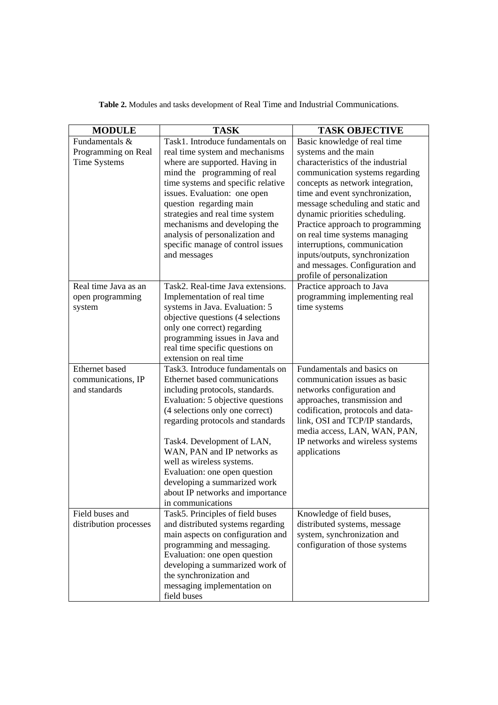| <b>MODULE</b>          | <b>TASK</b>                                                       | <b>TASK OBJECTIVE</b>                                               |
|------------------------|-------------------------------------------------------------------|---------------------------------------------------------------------|
| Fundamentals &         | Task1. Introduce fundamentals on                                  | Basic knowledge of real time                                        |
| Programming on Real    | real time system and mechanisms                                   | systems and the main                                                |
| Time Systems           | where are supported. Having in                                    | characteristics of the industrial                                   |
|                        | mind the programming of real                                      | communication systems regarding                                     |
|                        | time systems and specific relative                                | concepts as network integration,                                    |
|                        | issues. Evaluation: one open                                      | time and event synchronization,                                     |
|                        | question regarding main<br>strategies and real time system        | message scheduling and static and<br>dynamic priorities scheduling. |
|                        | mechanisms and developing the                                     | Practice approach to programming                                    |
|                        | analysis of personalization and                                   | on real time systems managing                                       |
|                        | specific manage of control issues                                 | interruptions, communication                                        |
|                        | and messages                                                      | inputs/outputs, synchronization                                     |
|                        |                                                                   | and messages. Configuration and                                     |
|                        |                                                                   | profile of personalization                                          |
| Real time Java as an   | Task2. Real-time Java extensions.                                 | Practice approach to Java                                           |
| open programming       | Implementation of real time                                       | programming implementing real                                       |
| system                 | systems in Java. Evaluation: 5                                    | time systems                                                        |
|                        | objective questions (4 selections                                 |                                                                     |
|                        | only one correct) regarding                                       |                                                                     |
|                        | programming issues in Java and<br>real time specific questions on |                                                                     |
|                        | extension on real time                                            |                                                                     |
| Ethernet based         | Task3. Introduce fundamentals on                                  | Fundamentals and basics on                                          |
| communications, IP     | Ethernet based communications                                     | communication issues as basic                                       |
| and standards          | including protocols, standards.                                   | networks configuration and                                          |
|                        | Evaluation: 5 objective questions                                 | approaches, transmission and                                        |
|                        | (4 selections only one correct)                                   | codification, protocols and data-                                   |
|                        | regarding protocols and standards                                 | link, OSI and TCP/IP standards,                                     |
|                        |                                                                   | media access, LAN, WAN, PAN,                                        |
|                        | Task4. Development of LAN,                                        | IP networks and wireless systems                                    |
|                        | WAN, PAN and IP networks as                                       | applications                                                        |
|                        | well as wireless systems.                                         |                                                                     |
|                        | Evaluation: one open question<br>developing a summarized work     |                                                                     |
|                        | about IP networks and importance                                  |                                                                     |
|                        | in communications                                                 |                                                                     |
| Field buses and        | Task5. Principles of field buses                                  | Knowledge of field buses,                                           |
| distribution processes | and distributed systems regarding                                 | distributed systems, message                                        |
|                        | main aspects on configuration and                                 | system, synchronization and                                         |
|                        | programming and messaging.                                        | configuration of those systems                                      |
|                        | Evaluation: one open question                                     |                                                                     |
|                        | developing a summarized work of                                   |                                                                     |
|                        | the synchronization and                                           |                                                                     |
|                        | messaging implementation on                                       |                                                                     |
|                        | field buses                                                       |                                                                     |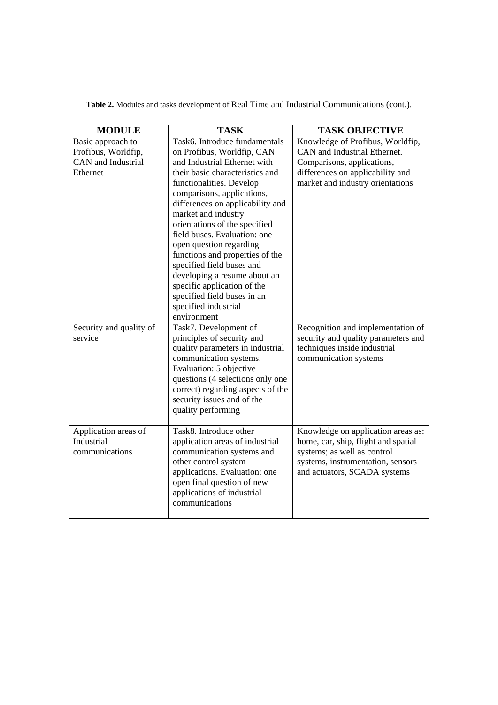| <b>MODULE</b>                      | <b>TASK</b>                                                  | <b>TASK OBJECTIVE</b>                                            |
|------------------------------------|--------------------------------------------------------------|------------------------------------------------------------------|
| Basic approach to                  | Task6. Introduce fundamentals                                | Knowledge of Profibus, Worldfip,                                 |
| Profibus, Worldfip,                | on Profibus, Worldfip, CAN                                   | CAN and Industrial Ethernet.                                     |
| CAN and Industrial                 | and Industrial Ethernet with                                 | Comparisons, applications,                                       |
| Ethernet                           | their basic characteristics and                              | differences on applicability and                                 |
|                                    | functionalities. Develop                                     | market and industry orientations                                 |
|                                    | comparisons, applications,                                   |                                                                  |
|                                    | differences on applicability and                             |                                                                  |
|                                    | market and industry                                          |                                                                  |
|                                    | orientations of the specified                                |                                                                  |
|                                    | field buses. Evaluation: one                                 |                                                                  |
|                                    | open question regarding                                      |                                                                  |
|                                    | functions and properties of the<br>specified field buses and |                                                                  |
|                                    | developing a resume about an                                 |                                                                  |
|                                    | specific application of the                                  |                                                                  |
|                                    | specified field buses in an                                  |                                                                  |
|                                    | specified industrial                                         |                                                                  |
|                                    | environment                                                  |                                                                  |
| Security and quality of            | Task7. Development of                                        | Recognition and implementation of                                |
| service                            | principles of security and                                   | security and quality parameters and                              |
|                                    | quality parameters in industrial                             | techniques inside industrial                                     |
|                                    | communication systems.                                       | communication systems                                            |
|                                    | Evaluation: 5 objective                                      |                                                                  |
|                                    | questions (4 selections only one                             |                                                                  |
|                                    | correct) regarding aspects of the                            |                                                                  |
|                                    | security issues and of the                                   |                                                                  |
|                                    | quality performing                                           |                                                                  |
|                                    |                                                              |                                                                  |
| Application areas of<br>Industrial | Task8. Introduce other                                       | Knowledge on application areas as:                               |
| communications                     | application areas of industrial<br>communication systems and | home, car, ship, flight and spatial                              |
|                                    | other control system                                         | systems; as well as control<br>systems, instrumentation, sensors |
|                                    | applications. Evaluation: one                                | and actuators, SCADA systems                                     |
|                                    | open final question of new                                   |                                                                  |
|                                    | applications of industrial                                   |                                                                  |
|                                    | communications                                               |                                                                  |
|                                    |                                                              |                                                                  |

**Table 2.** Modules and tasks development of Real Time and Industrial Communications (cont.).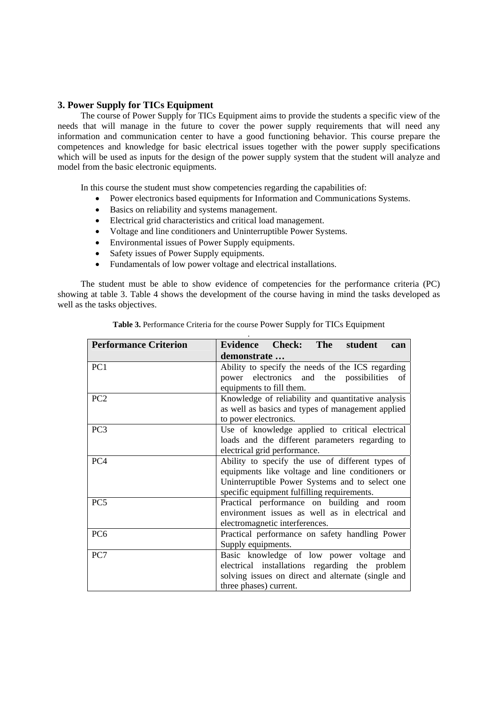# **3. Power Supply for TICs Equipment**

The course of Power Supply for TICs Equipment aims to provide the students a specific view of the needs that will manage in the future to cover the power supply requirements that will need any information and communication center to have a good functioning behavior. This course prepare the competences and knowledge for basic electrical issues together with the power supply specifications which will be used as inputs for the design of the power supply system that the student will analyze and model from the basic electronic equipments.

In this course the student must show competencies regarding the capabilities of:

- Power electronics based equipments for Information and Communications Systems.
- Basics on reliability and systems management.
- Electrical grid characteristics and critical load management.
- Voltage and line conditioners and Uninterruptible Power Systems.
- Environmental issues of Power Supply equipments.
- Safety issues of Power Supply equipments.
- Fundamentals of low power voltage and electrical installations.

The student must be able to show evidence of competencies for the performance criteria (PC) showing at table 3. Table 4 shows the development of the course having in mind the tasks developed as well as the tasks objectives.

| <b>Performance Criterion</b> | Evidence Check: The<br>student<br>can              |  |  |  |
|------------------------------|----------------------------------------------------|--|--|--|
|                              | demonstrate                                        |  |  |  |
| PC1                          | Ability to specify the needs of the ICS regarding  |  |  |  |
|                              | power electronics and the possibilities<br>of      |  |  |  |
|                              | equipments to fill them.                           |  |  |  |
| PC <sub>2</sub>              | Knowledge of reliability and quantitative analysis |  |  |  |
|                              | as well as basics and types of management applied  |  |  |  |
|                              | to power electronics.                              |  |  |  |
| PC <sub>3</sub>              | Use of knowledge applied to critical electrical    |  |  |  |
|                              | loads and the different parameters regarding to    |  |  |  |
|                              | electrical grid performance.                       |  |  |  |
| PC <sub>4</sub>              | Ability to specify the use of different types of   |  |  |  |
|                              | equipments like voltage and line conditioners or   |  |  |  |
|                              | Uninterruptible Power Systems and to select one    |  |  |  |
|                              | specific equipment fulfilling requirements.        |  |  |  |
| PC <sub>5</sub>              | Practical performance on building and room         |  |  |  |
|                              | environment issues as well as in electrical and    |  |  |  |
|                              | electromagnetic interferences.                     |  |  |  |
| PC <sub>6</sub>              | Practical performance on safety handling Power     |  |  |  |
|                              | Supply equipments.                                 |  |  |  |
| PC7                          | Basic knowledge of low power voltage and           |  |  |  |
|                              | electrical installations regarding the problem     |  |  |  |
|                              | solving issues on direct and alternate (single and |  |  |  |
|                              | three phases) current.                             |  |  |  |

| Table 3. Performance Criteria for the course Power Supply for TICs Equipment |  |  |  |  |
|------------------------------------------------------------------------------|--|--|--|--|
|                                                                              |  |  |  |  |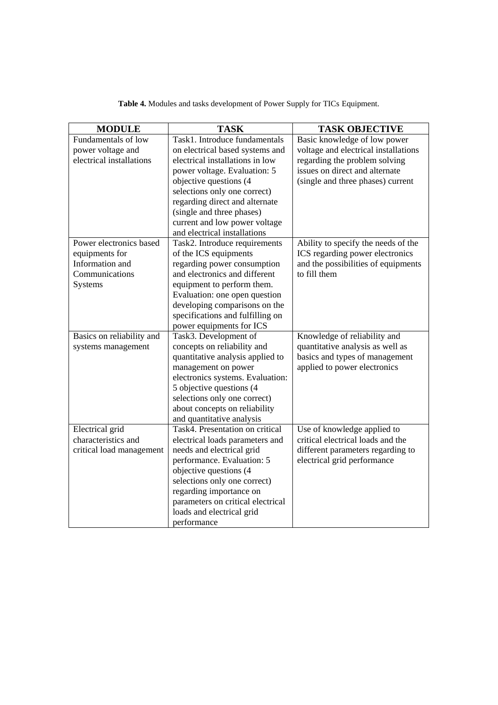| <b>MODULE</b>             | <b>TASK</b>                                                  | <b>TASK OBJECTIVE</b>                |
|---------------------------|--------------------------------------------------------------|--------------------------------------|
| Fundamentals of low       | Task1. Introduce fundamentals                                | Basic knowledge of low power         |
| power voltage and         | on electrical based systems and                              | voltage and electrical installations |
| electrical installations  | electrical installations in low                              | regarding the problem solving        |
|                           | power voltage. Evaluation: 5                                 | issues on direct and alternate       |
|                           | objective questions (4                                       | (single and three phases) current    |
|                           | selections only one correct)                                 |                                      |
|                           | regarding direct and alternate                               |                                      |
|                           | (single and three phases)                                    |                                      |
|                           | current and low power voltage                                |                                      |
|                           | and electrical installations                                 |                                      |
| Power electronics based   | Task2. Introduce requirements                                | Ability to specify the needs of the  |
| equipments for            | of the ICS equipments                                        | ICS regarding power electronics      |
| Information and           | regarding power consumption                                  | and the possibilities of equipments  |
| Communications            | and electronics and different                                | to fill them                         |
| Systems                   | equipment to perform them.                                   |                                      |
|                           | Evaluation: one open question                                |                                      |
|                           | developing comparisons on the                                |                                      |
|                           | specifications and fulfilling on                             |                                      |
|                           | power equipments for ICS                                     |                                      |
| Basics on reliability and | Task3. Development of                                        | Knowledge of reliability and         |
| systems management        | concepts on reliability and                                  | quantitative analysis as well as     |
|                           | quantitative analysis applied to                             | basics and types of management       |
|                           | management on power                                          | applied to power electronics         |
|                           | electronics systems. Evaluation:                             |                                      |
|                           | 5 objective questions (4)                                    |                                      |
|                           | selections only one correct)                                 |                                      |
|                           | about concepts on reliability                                |                                      |
|                           | and quantitative analysis                                    |                                      |
| Electrical grid           | Task4. Presentation on critical                              | Use of knowledge applied to          |
| characteristics and       | electrical loads parameters and                              | critical electrical loads and the    |
| critical load management  | needs and electrical grid                                    | different parameters regarding to    |
|                           | performance. Evaluation: 5                                   | electrical grid performance          |
|                           | objective questions (4                                       |                                      |
|                           | selections only one correct)                                 |                                      |
|                           | regarding importance on<br>parameters on critical electrical |                                      |
|                           |                                                              |                                      |
|                           | loads and electrical grid                                    |                                      |
|                           | performance                                                  |                                      |

**Table 4.** Modules and tasks development of Power Supply for TICs Equipment.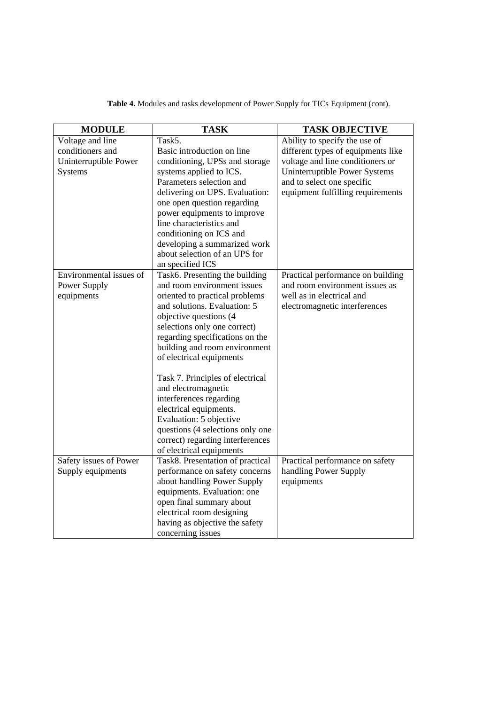| <b>MODULE</b>           | <b>TASK</b>                      | <b>TASK OBJECTIVE</b>              |
|-------------------------|----------------------------------|------------------------------------|
| Voltage and line        | Task5.                           | Ability to specify the use of      |
| conditioners and        | Basic introduction on line       | different types of equipments like |
| Uninterruptible Power   | conditioning, UPSs and storage   | voltage and line conditioners or   |
| <b>Systems</b>          | systems applied to ICS.          | Uninterruptible Power Systems      |
|                         | Parameters selection and         | and to select one specific         |
|                         | delivering on UPS. Evaluation:   | equipment fulfilling requirements  |
|                         | one open question regarding      |                                    |
|                         | power equipments to improve      |                                    |
|                         | line characteristics and         |                                    |
|                         | conditioning on ICS and          |                                    |
|                         | developing a summarized work     |                                    |
|                         | about selection of an UPS for    |                                    |
|                         | an specified ICS                 |                                    |
| Environmental issues of | Task6. Presenting the building   | Practical performance on building  |
| Power Supply            | and room environment issues      | and room environment issues as     |
| equipments              | oriented to practical problems   | well as in electrical and          |
|                         | and solutions. Evaluation: 5     | electromagnetic interferences      |
|                         | objective questions (4           |                                    |
|                         | selections only one correct)     |                                    |
|                         | regarding specifications on the  |                                    |
|                         | building and room environment    |                                    |
|                         | of electrical equipments         |                                    |
|                         |                                  |                                    |
|                         | Task 7. Principles of electrical |                                    |
|                         | and electromagnetic              |                                    |
|                         | interferences regarding          |                                    |
|                         | electrical equipments.           |                                    |
|                         | Evaluation: 5 objective          |                                    |
|                         | questions (4 selections only one |                                    |
|                         | correct) regarding interferences |                                    |
|                         | of electrical equipments         |                                    |
| Safety issues of Power  | Task8. Presentation of practical | Practical performance on safety    |
| Supply equipments       | performance on safety concerns   | handling Power Supply              |
|                         | about handling Power Supply      | equipments                         |
|                         | equipments. Evaluation: one      |                                    |
|                         | open final summary about         |                                    |
|                         | electrical room designing        |                                    |
|                         | having as objective the safety   |                                    |
|                         | concerning issues                |                                    |

**Table 4.** Modules and tasks development of Power Supply for TICs Equipment (cont).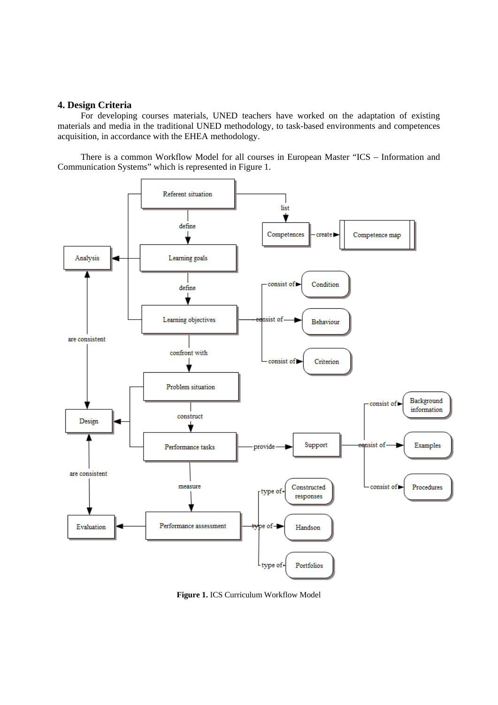#### **4. Design Criteria**

For developing courses materials, UNED teachers have worked on the adaptation of existing materials and media in the traditional UNED methodology, to task-based environments and competences acquisition, in accordance with the EHEA methodology.

There is a common Workflow Model for all courses in European Master "ICS – Information and Communication Systems" which is represented in Figure 1.



**Figure 1.** ICS Curriculum Workflow Model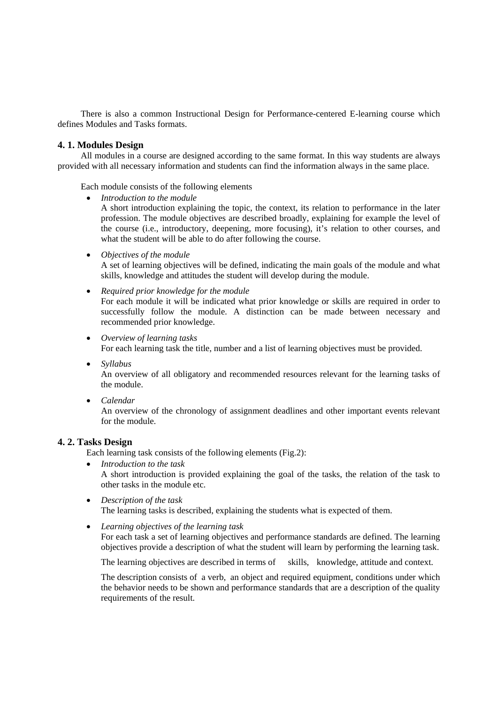There is also a common Instructional Design for Performance-centered E-learning course which defines Modules and Tasks formats.

## **4. 1. Modules Design**

All modules in a course are designed according to the same format. In this way students are always provided with all necessary information and students can find the information always in the same place.

Each module consists of the following elements

- *Introduction to the module* A short introduction explaining the topic, the context, its relation to performance in the later profession. The module objectives are described broadly, explaining for example the level of the course (i.e., introductory, deepening, more focusing), it's relation to other courses, and what the student will be able to do after following the course.
- *Objectives of the module*

A set of learning objectives will be defined, indicating the main goals of the module and what skills, knowledge and attitudes the student will develop during the module.

- *Required prior knowledge for the module* For each module it will be indicated what prior knowledge or skills are required in order to successfully follow the module. A distinction can be made between necessary and recommended prior knowledge.
- *Overview of learning tasks* For each learning task the title, number and a list of learning objectives must be provided.
- *Syllabus* An overview of all obligatory and recommended resources relevant for the learning tasks of the module.
- *Calendar*

An overview of the chronology of assignment deadlines and other important events relevant for the module.

#### **4. 2. Tasks Design**

Each learning task consists of the following elements (Fig.2):

- *Introduction to the task* A short introduction is provided explaining the goal of the tasks, the relation of the task to other tasks in the module etc.
- *Description of the task* The learning tasks is described, explaining the students what is expected of them.
- *Learning objectives of the learning task*

For each task a set of learning objectives and performance standards are defined. The learning objectives provide a description of what the student will learn by performing the learning task.

The learning objectives are described in terms of skills, knowledge, attitude and context.

The description consists of a verb, an object and required equipment, conditions under which the behavior needs to be shown and performance standards that are a description of the quality requirements of the result.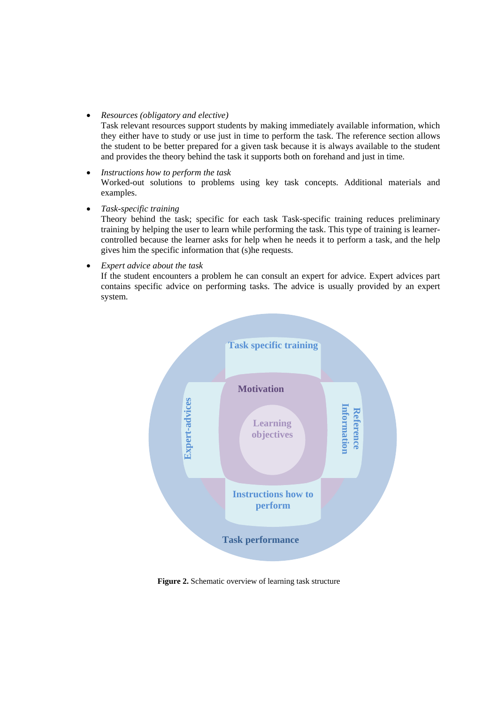*Resources (obligatory and elective)* 

Task relevant resources support students by making immediately available information, which they either have to study or use just in time to perform the task. The reference section allows the student to be better prepared for a given task because it is always available to the student and provides the theory behind the task it supports both on forehand and just in time.

- *Instructions how to perform the task*  Worked-out solutions to problems using key task concepts. Additional materials and examples.
- *Task-specific training*

Theory behind the task; specific for each task Task-specific training reduces preliminary training by helping the user to learn while performing the task. This type of training is learnercontrolled because the learner asks for help when he needs it to perform a task, and the help gives him the specific information that (s)he requests.

*Expert advice about the task* 

If the student encounters a problem he can consult an expert for advice. Expert advices part contains specific advice on performing tasks. The advice is usually provided by an expert system.



**Figure 2.** Schematic overview of learning task structure